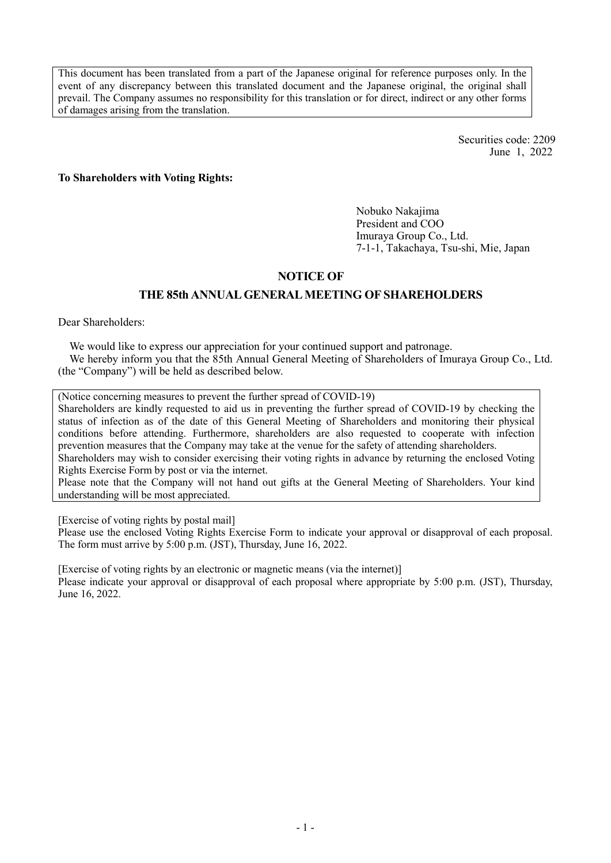This document has been translated from a part of the Japanese original for reference purposes only. In the event of any discrepancy between this translated document and the Japanese original, the original shall prevail. The Company assumes no responsibility for this translation or for direct, indirect or any other forms of damages arising from the translation.

> Securities code: 2209 June 1, 2022

To Shareholders with Voting Rights:

Nobuko Nakajima President and COO Imuraya Group Co., Ltd. 7-1-1, Takachaya, Tsu-shi, Mie, Japan

## NOTICE OF

## THE 85th ANNUAL GENERAL MEETING OF SHAREHOLDERS

Dear Shareholders:

We would like to express our appreciation for your continued support and patronage. We hereby inform you that the 85th Annual General Meeting of Shareholders of Imuraya Group Co., Ltd. (the "Company") will be held as described below.

(Notice concerning measures to prevent the further spread of COVID-19)

Shareholders are kindly requested to aid us in preventing the further spread of COVID-19 by checking the status of infection as of the date of this General Meeting of Shareholders and monitoring their physical conditions before attending. Furthermore, shareholders are also requested to cooperate with infection prevention measures that the Company may take at the venue for the safety of attending shareholders. Shareholders may wish to consider exercising their voting rights in advance by returning the enclosed Voting

Rights Exercise Form by post or via the internet.

Please note that the Company will not hand out gifts at the General Meeting of Shareholders. Your kind understanding will be most appreciated.

[Exercise of voting rights by postal mail]

Please use the enclosed Voting Rights Exercise Form to indicate your approval or disapproval of each proposal. The form must arrive by 5:00 p.m. (JST), Thursday, June 16, 2022.

[Exercise of voting rights by an electronic or magnetic means (via the internet)] Please indicate your approval or disapproval of each proposal where appropriate by 5:00 p.m. (JST), Thursday, June 16, 2022.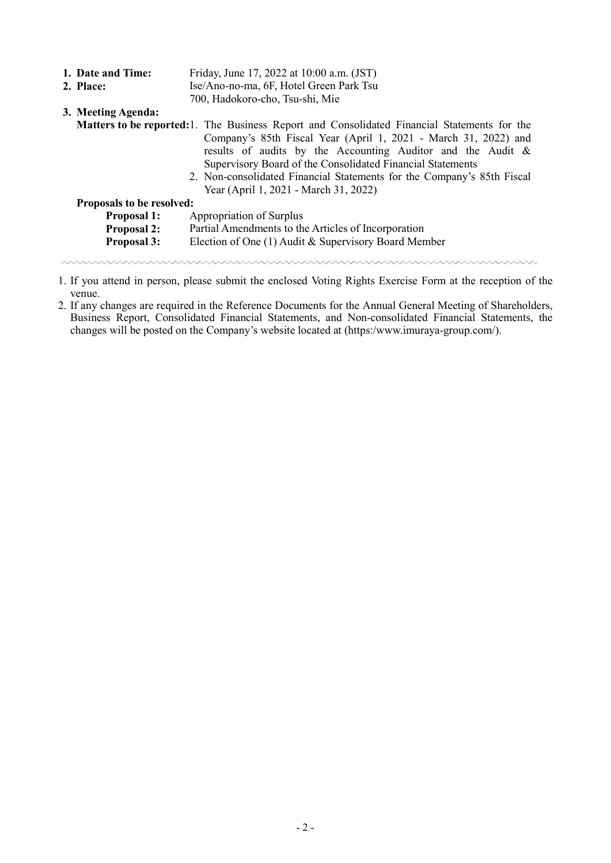|                                                                                                     | 1. Date and Time:                                                         | Friday, June 17, 2022 at 10:00 a.m. (JST)                                                                                                                                                                                                                                                                       |  |  |  |  |  |  |
|-----------------------------------------------------------------------------------------------------|---------------------------------------------------------------------------|-----------------------------------------------------------------------------------------------------------------------------------------------------------------------------------------------------------------------------------------------------------------------------------------------------------------|--|--|--|--|--|--|
| Ise/Ano-no-ma, 6F, Hotel Green Park Tsu<br>2. Place:                                                |                                                                           |                                                                                                                                                                                                                                                                                                                 |  |  |  |  |  |  |
|                                                                                                     |                                                                           | 700, Hadokoro-cho, Tsu-shi, Mie                                                                                                                                                                                                                                                                                 |  |  |  |  |  |  |
|                                                                                                     | 3. Meeting Agenda:                                                        |                                                                                                                                                                                                                                                                                                                 |  |  |  |  |  |  |
| <b>Matters to be reported:</b> 1. The Business Report and Consolidated Financial Statements for the |                                                                           |                                                                                                                                                                                                                                                                                                                 |  |  |  |  |  |  |
|                                                                                                     |                                                                           | Company's 85th Fiscal Year (April 1, 2021 - March 31, 2022) and<br>results of audits by the Accounting Auditor and the Audit &<br>Supervisory Board of the Consolidated Financial Statements<br>2. Non-consolidated Financial Statements for the Company's 85th Fiscal<br>Year (April 1, 2021 - March 31, 2022) |  |  |  |  |  |  |
| <b>Proposals to be resolved:</b>                                                                    |                                                                           |                                                                                                                                                                                                                                                                                                                 |  |  |  |  |  |  |
|                                                                                                     | Appropriation of Surplus<br><b>Proposal 1:</b>                            |                                                                                                                                                                                                                                                                                                                 |  |  |  |  |  |  |
|                                                                                                     | Partial Amendments to the Articles of Incorporation<br><b>Proposal 2:</b> |                                                                                                                                                                                                                                                                                                                 |  |  |  |  |  |  |
| Election of One (1) Audit & Supervisory Board Member<br><b>Proposal 3:</b>                          |                                                                           |                                                                                                                                                                                                                                                                                                                 |  |  |  |  |  |  |
|                                                                                                     |                                                                           |                                                                                                                                                                                                                                                                                                                 |  |  |  |  |  |  |

1. If you attend in person, please submit the enclosed Voting Rights Exercise Form at the reception of the venue.

2. If any changes are required in the Reference Documents for the Annual General Meeting of Shareholders, Business Report, Consolidated Financial Statements, and Non-consolidated Financial Statements, the changes will be posted on the Company's website located at (https:/www.imuraya-group.com/).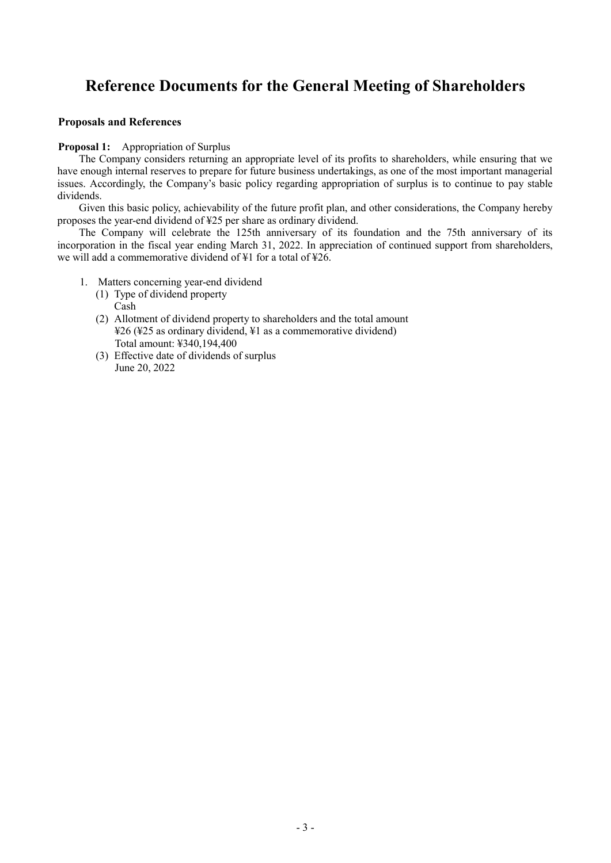# Reference Documents for the General Meeting of Shareholders

#### Proposals and References

#### Proposal 1: Appropriation of Surplus

The Company considers returning an appropriate level of its profits to shareholders, while ensuring that we have enough internal reserves to prepare for future business undertakings, as one of the most important managerial issues. Accordingly, the Company's basic policy regarding appropriation of surplus is to continue to pay stable dividends.

Given this basic policy, achievability of the future profit plan, and other considerations, the Company hereby proposes the year-end dividend of ¥25 per share as ordinary dividend.

The Company will celebrate the 125th anniversary of its foundation and the 75th anniversary of its incorporation in the fiscal year ending March 31, 2022. In appreciation of continued support from shareholders, we will add a commemorative dividend of ¥1 for a total of ¥26.

- 1. Matters concerning year-end dividend
	- (1) Type of dividend property Cash
	- (2) Allotment of dividend property to shareholders and the total amount ¥26 (¥25 as ordinary dividend, ¥1 as a commemorative dividend) Total amount: ¥340,194,400
	- (3) Effective date of dividends of surplus June 20, 2022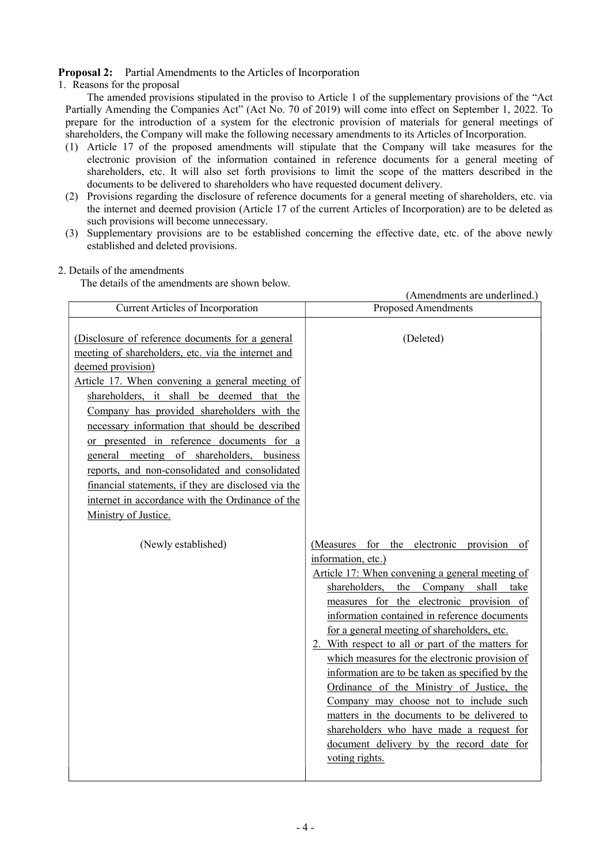## Proposal 2: Partial Amendments to the Articles of Incorporation

### 1. Reasons for the proposal

The amended provisions stipulated in the proviso to Article 1 of the supplementary provisions of the "Act Partially Amending the Companies Act" (Act No. 70 of 2019) will come into effect on September 1, 2022. To prepare for the introduction of a system for the electronic provision of materials for general meetings of shareholders, the Company will make the following necessary amendments to its Articles of Incorporation.

- (1) Article 17 of the proposed amendments will stipulate that the Company will take measures for the electronic provision of the information contained in reference documents for a general meeting of shareholders, etc. It will also set forth provisions to limit the scope of the matters described in the documents to be delivered to shareholders who have requested document delivery.
- (2) Provisions regarding the disclosure of reference documents for a general meeting of shareholders, etc. via the internet and deemed provision (Article 17 of the current Articles of Incorporation) are to be deleted as such provisions will become unnecessary.
- (3) Supplementary provisions are to be established concerning the effective date, etc. of the above newly established and deleted provisions.

## 2. Details of the amendments

The details of the amendments are shown below.

| (Amendments are underlined.)                                                                                                                                                                                                                                                                                                                                                                                                                                                                                                                                                                               |                                                                                                                                                                                                                                                                                                                                                                                                                                                                                                                                                                                                                                                                                                                 |  |  |  |
|------------------------------------------------------------------------------------------------------------------------------------------------------------------------------------------------------------------------------------------------------------------------------------------------------------------------------------------------------------------------------------------------------------------------------------------------------------------------------------------------------------------------------------------------------------------------------------------------------------|-----------------------------------------------------------------------------------------------------------------------------------------------------------------------------------------------------------------------------------------------------------------------------------------------------------------------------------------------------------------------------------------------------------------------------------------------------------------------------------------------------------------------------------------------------------------------------------------------------------------------------------------------------------------------------------------------------------------|--|--|--|
| <b>Current Articles of Incorporation</b>                                                                                                                                                                                                                                                                                                                                                                                                                                                                                                                                                                   | Proposed Amendments                                                                                                                                                                                                                                                                                                                                                                                                                                                                                                                                                                                                                                                                                             |  |  |  |
| (Disclosure of reference documents for a general<br>meeting of shareholders, etc. via the internet and<br>deemed provision)<br>Article 17. When convening a general meeting of<br>shareholders, it shall be deemed that the<br>Company has provided shareholders with the<br>necessary information that should be described<br>or presented in reference documents for a<br>general meeting of shareholders, business<br>reports, and non-consolidated and consolidated<br>financial statements, if they are disclosed via the<br>internet in accordance with the Ordinance of the<br>Ministry of Justice. | (Deleted)                                                                                                                                                                                                                                                                                                                                                                                                                                                                                                                                                                                                                                                                                                       |  |  |  |
| (Newly established)                                                                                                                                                                                                                                                                                                                                                                                                                                                                                                                                                                                        | (Measures for the electronic provision of<br>information, etc.)<br>Article 17: When convening a general meeting of<br>shareholders, the Company shall take<br>measures for the electronic provision of<br>information contained in reference documents<br>for a general meeting of shareholders, etc.<br>2. With respect to all or part of the matters for<br>which measures for the electronic provision of<br>information are to be taken as specified by the<br>Ordinance of the Ministry of Justice, the<br>Company may choose not to include such<br>matters in the documents to be delivered to<br>shareholders who have made a request for<br>document delivery by the record date for<br>voting rights. |  |  |  |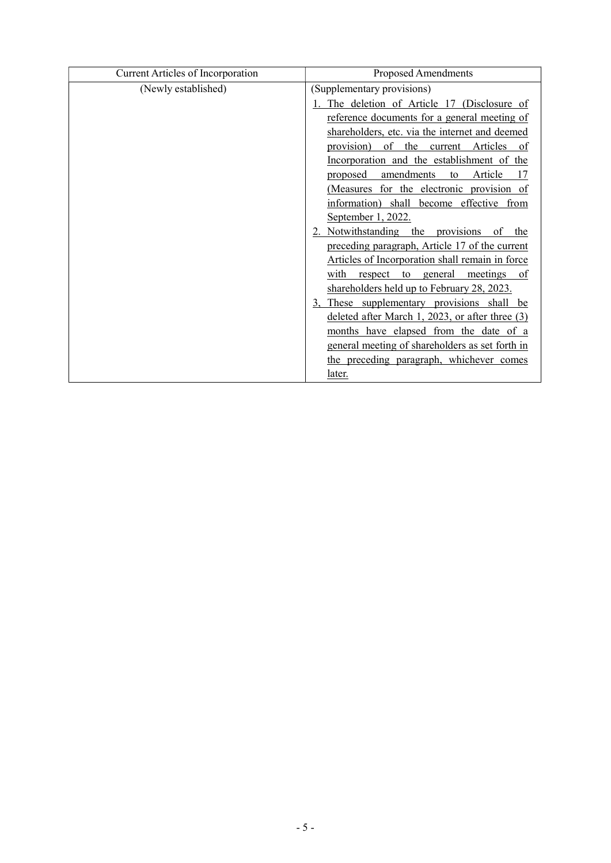| Current Articles of Incorporation | <b>Proposed Amendments</b>                      |  |  |
|-----------------------------------|-------------------------------------------------|--|--|
| (Newly established)               | (Supplementary provisions)                      |  |  |
|                                   | The deletion of Article 17 (Disclosure of       |  |  |
|                                   | reference documents for a general meeting of    |  |  |
|                                   | shareholders, etc. via the internet and deemed  |  |  |
|                                   | provision) of the<br>current Articles<br>0f     |  |  |
|                                   | Incorporation and the establishment of the      |  |  |
|                                   | Article<br>amendments<br>proposed<br>to<br>17   |  |  |
|                                   | (Measures for the electronic provision of       |  |  |
|                                   | information) shall become effective from        |  |  |
|                                   | September 1, 2022.                              |  |  |
|                                   | 2. Notwithstanding the provisions<br>of<br>the  |  |  |
|                                   | preceding paragraph, Article 17 of the current  |  |  |
|                                   | Articles of Incorporation shall remain in force |  |  |
|                                   | with<br>respect to general meetings<br>of       |  |  |
|                                   | shareholders held up to February 28, 2023.      |  |  |
|                                   | 3, These supplementary provisions shall be      |  |  |
|                                   | deleted after March 1, 2023, or after three (3) |  |  |
|                                   | months have elapsed from the date of a          |  |  |
|                                   | general meeting of shareholders as set forth in |  |  |
|                                   | the preceding paragraph, whichever comes        |  |  |
|                                   | later.                                          |  |  |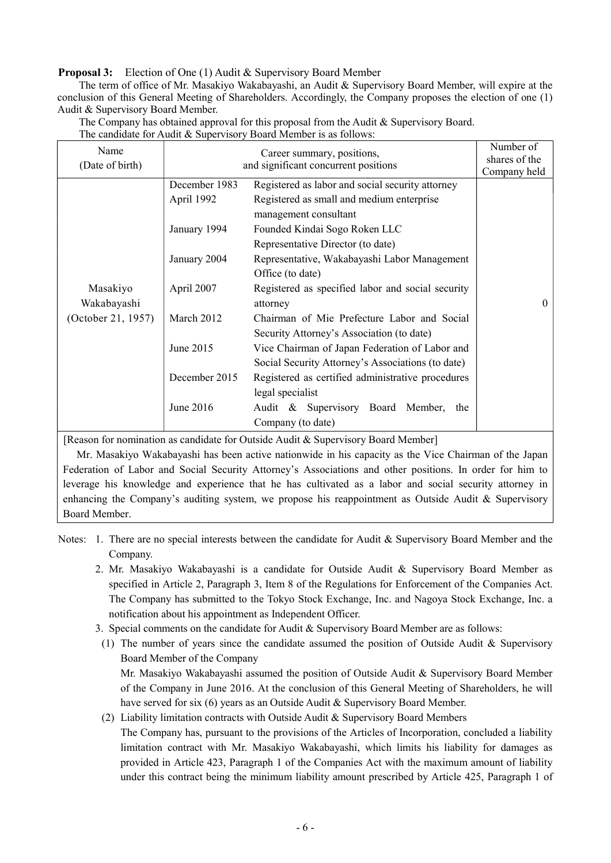Proposal 3: Election of One (1) Audit & Supervisory Board Member

The term of office of Mr. Masakiyo Wakabayashi, an Audit & Supervisory Board Member, will expire at the conclusion of this General Meeting of Shareholders. Accordingly, the Company proposes the election of one (1) Audit & Supervisory Board Member.

| Name<br>(Date of birth) | Career summary, positions,<br>and significant concurrent positions |                                                               | Number of<br>shares of the<br>Company held |
|-------------------------|--------------------------------------------------------------------|---------------------------------------------------------------|--------------------------------------------|
|                         | December 1983                                                      | Registered as labor and social security attorney              |                                            |
|                         | April 1992                                                         | Registered as small and medium enterprise                     |                                            |
|                         |                                                                    | management consultant                                         |                                            |
|                         | January 1994                                                       | Founded Kindai Sogo Roken LLC                                 |                                            |
|                         |                                                                    | Representative Director (to date)                             |                                            |
|                         | January 2004                                                       | Representative, Wakabayashi Labor Management                  |                                            |
|                         |                                                                    | Office (to date)                                              |                                            |
| Masakiyo<br>Wakabayashi | April 2007                                                         | Registered as specified labor and social security<br>attorney | $\theta$                                   |
| (October 21, 1957)      | March 2012                                                         | Chairman of Mie Prefecture Labor and Social                   |                                            |
|                         |                                                                    | Security Attorney's Association (to date)                     |                                            |
|                         | June 2015                                                          | Vice Chairman of Japan Federation of Labor and                |                                            |
|                         |                                                                    | Social Security Attorney's Associations (to date)             |                                            |
|                         | December 2015                                                      | Registered as certified administrative procedures             |                                            |
|                         |                                                                    | legal specialist                                              |                                            |
|                         | June 2016                                                          | Audit & Supervisory Board Member,<br>the                      |                                            |
|                         |                                                                    | Company (to date)                                             |                                            |

The Company has obtained approval for this proposal from the Audit & Supervisory Board. The candidate for Audit & Supervisory Board Member is as follows:

[Reason for nomination as candidate for Outside Audit & Supervisory Board Member]

Mr. Masakiyo Wakabayashi has been active nationwide in his capacity as the Vice Chairman of the Japan Federation of Labor and Social Security Attorney's Associations and other positions. In order for him to leverage his knowledge and experience that he has cultivated as a labor and social security attorney in enhancing the Company's auditing system, we propose his reappointment as Outside Audit & Supervisory Board Member.

Notes: 1. There are no special interests between the candidate for Audit & Supervisory Board Member and the Company.

- 2. Mr. Masakiyo Wakabayashi is a candidate for Outside Audit & Supervisory Board Member as specified in Article 2, Paragraph 3, Item 8 of the Regulations for Enforcement of the Companies Act. The Company has submitted to the Tokyo Stock Exchange, Inc. and Nagoya Stock Exchange, Inc. a notification about his appointment as Independent Officer.
- 3. Special comments on the candidate for Audit & Supervisory Board Member are as follows:
- (1) The number of years since the candidate assumed the position of Outside Audit & Supervisory Board Member of the Company Mr. Masakiyo Wakabayashi assumed the position of Outside Audit & Supervisory Board Member of the Company in June 2016. At the conclusion of this General Meeting of Shareholders, he will have served for six (6) years as an Outside Audit & Supervisory Board Member.

(2) Liability limitation contracts with Outside Audit & Supervisory Board Members

 The Company has, pursuant to the provisions of the Articles of Incorporation, concluded a liability limitation contract with Mr. Masakiyo Wakabayashi, which limits his liability for damages as provided in Article 423, Paragraph 1 of the Companies Act with the maximum amount of liability under this contract being the minimum liability amount prescribed by Article 425, Paragraph 1 of